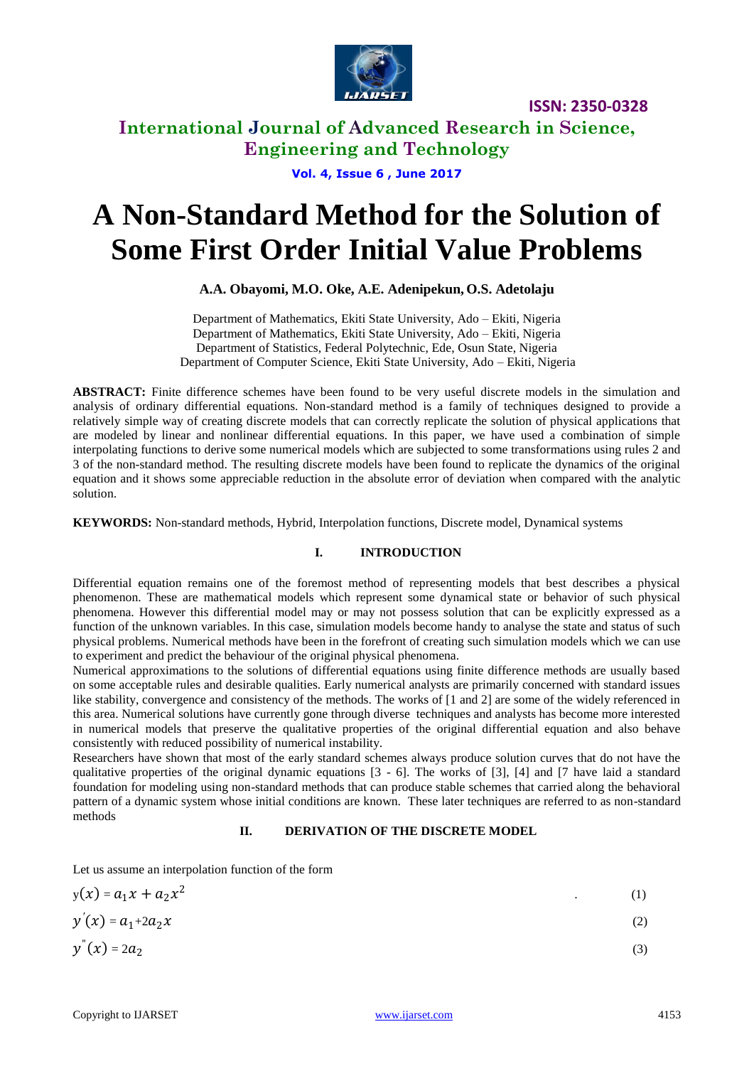

# **International Journal of Advanced Research in Science, Engineering and Technology**

**Vol. 4, Issue 6 , June 2017**

# **A Non-Standard Method for the Solution of Some First Order Initial Value Problems**

### **A.A. Obayomi, M.O. Oke, A.E. Adenipekun, O.S. Adetolaju**

Department of Mathematics, Ekiti State University, Ado – Ekiti, Nigeria Department of Mathematics, Ekiti State University, Ado – Ekiti, Nigeria Department of Statistics, Federal Polytechnic, Ede, Osun State, Nigeria Department of Computer Science, Ekiti State University, Ado – Ekiti, Nigeria

**ABSTRACT:** Finite difference schemes have been found to be very useful discrete models in the simulation and analysis of ordinary differential equations. Non-standard method is a family of techniques designed to provide a relatively simple way of creating discrete models that can correctly replicate the solution of physical applications that are modeled by linear and nonlinear differential equations. In this paper, we have used a combination of simple interpolating functions to derive some numerical models which are subjected to some transformations using rules 2 and 3 of the non-standard method. The resulting discrete models have been found to replicate the dynamics of the original equation and it shows some appreciable reduction in the absolute error of deviation when compared with the analytic solution.

**KEYWORDS:** Non-standard methods, Hybrid, Interpolation functions, Discrete model, Dynamical systems

### **I. INTRODUCTION**

Differential equation remains one of the foremost method of representing models that best describes a physical phenomenon. These are mathematical models which represent some dynamical state or behavior of such physical phenomena. However this differential model may or may not possess solution that can be explicitly expressed as a function of the unknown variables. In this case, simulation models become handy to analyse the state and status of such physical problems. Numerical methods have been in the forefront of creating such simulation models which we can use to experiment and predict the behaviour of the original physical phenomena.

Numerical approximations to the solutions of differential equations using finite difference methods are usually based on some acceptable rules and desirable qualities. Early numerical analysts are primarily concerned with standard issues like stability, convergence and consistency of the methods. The works of [1 and 2] are some of the widely referenced in this area. Numerical solutions have currently gone through diverse techniques and analysts has become more interested in numerical models that preserve the qualitative properties of the original differential equation and also behave consistently with reduced possibility of numerical instability.

Researchers have shown that most of the early standard schemes always produce solution curves that do not have the qualitative properties of the original dynamic equations [3 - 6]. The works of [3], [4] and [7 have laid a standard foundation for modeling using non-standard methods that can produce stable schemes that carried along the behavioral pattern of a dynamic system whose initial conditions are known. These later techniques are referred to as non-standard methods

#### **II. DERIVATION OF THE DISCRETE MODEL**

Let us assume an interpolation function of the form

| $y(x) = a_1 x + a_2 x^2$ | $\cdot$ |  |
|--------------------------|---------|--|
| $y'(x) = a_1 + 2a_2x$    |         |  |
| $y''(x) = 2a_2$          |         |  |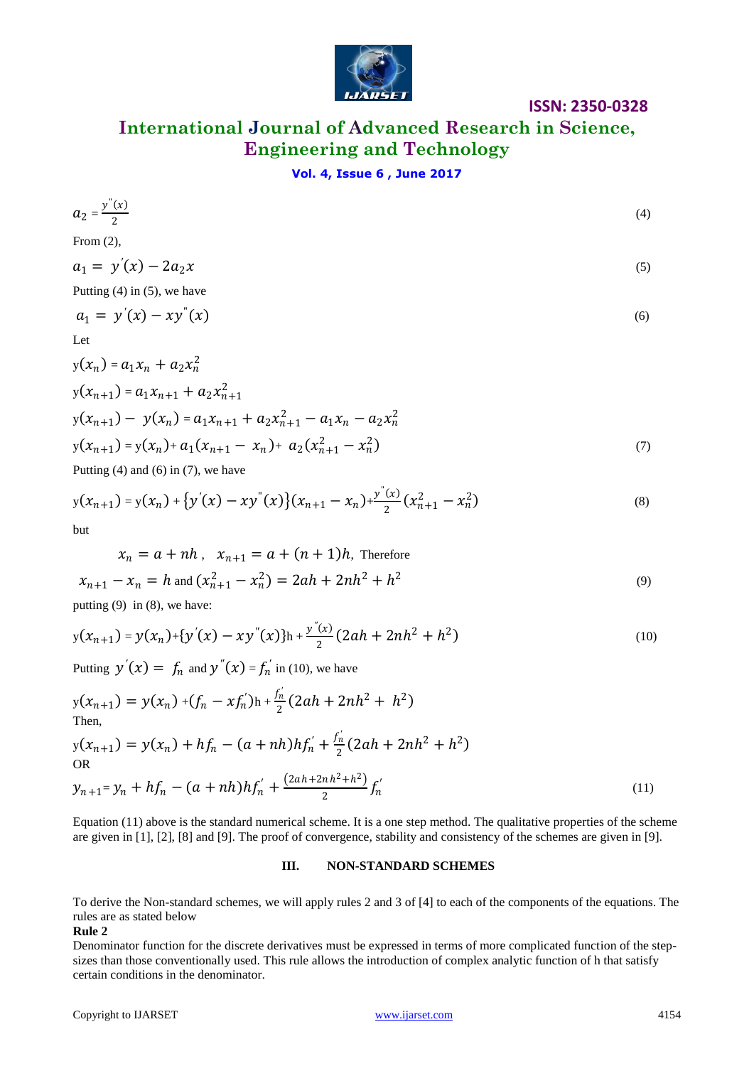

# **International Journal of Advanced Research in Science, Engineering and Technology**

# **Vol. 4, Issue 6 , June 2017**

$$
a_2 = \frac{y''(x)}{2} \tag{4}
$$

$$
From (2),
$$

$$
a_1 = y'(x) - 2a_2x \tag{5}
$$

Putting  $(4)$  in  $(5)$ , we have

$$
a_1 = y'(x) - xy''(x) \tag{6}
$$

Let

$$
y(x_n) = a_1 x_n + a_2 x_n^2
$$
  
\n
$$
y(x_{n+1}) = a_1 x_{n+1} + a_2 x_{n+1}^2
$$
  
\n
$$
y(x_{n+1}) - y(x_n) = a_1 x_{n+1} + a_2 x_{n+1}^2 - a_1 x_n - a_2 x_n^2
$$
  
\n
$$
y(x_{n+1}) = y(x_n) + a_1 (x_{n+1} - x_n) + a_2 (x_{n+1}^2 - x_n^2)
$$
\n(7)

Putting  $(4)$  and  $(6)$  in  $(7)$ , we have

$$
y(x_{n+1}) = y(x_n) + \{y'(x) - xy''(x)\}(x_{n+1} - x_n) + \frac{y''(x)}{2}(x_{n+1}^2 - x_n^2)
$$
\n(8)

but

$$
x_n = a + nh, \quad x_{n+1} = a + (n+1)h, \text{ Therefore}
$$
  

$$
x_{n+1} - x_n = h \text{ and } (x_{n+1}^2 - x_n^2) = 2ah + 2nh^2 + h^2
$$
 (9)

putting  $(9)$  in  $(8)$ , we have:

$$
y(x_{n+1}) = y(x_n) + \{y'(x) - xy''(x)\}h + \frac{y''(x)}{2}(2ah + 2nh^2 + h^2)
$$
\n(10)

Putting  $y'(x) = f_n$  and  $y''(x) = f'_n$  in (10), we have

$$
y(x_{n+1}) = y(x_n) + (f_n - xf_n')h + \frac{f_n'}{2}(2ah + 2nh^2 + h^2)
$$
  
Then,

$$
y(x_{n+1}) = y(x_n) + hf_n - (a + nh)hf'_n + \frac{f'_n}{2}(2ah + 2nh^2 + h^2)
$$
  
OR

$$
y_{n+1} = y_n + h f_n - (a + nh) h f'_n + \frac{(2ah + 2nh^2 + h^2)}{2} f'_n
$$
\n(11)

Equation (11) above is the standard numerical scheme. It is a one step method. The qualitative properties of the scheme are given in [1], [2], [8] and [9]. The proof of convergence, stability and consistency of the schemes are given in [9].

#### **III. NON-STANDARD SCHEMES**

To derive the Non-standard schemes, we will apply rules 2 and 3 of [4] to each of the components of the equations. The rules are as stated below

#### **Rule 2**

Denominator function for the discrete derivatives must be expressed in terms of more complicated function of the stepsizes than those conventionally used. This rule allows the introduction of complex analytic function of h that satisfy certain conditions in the denominator.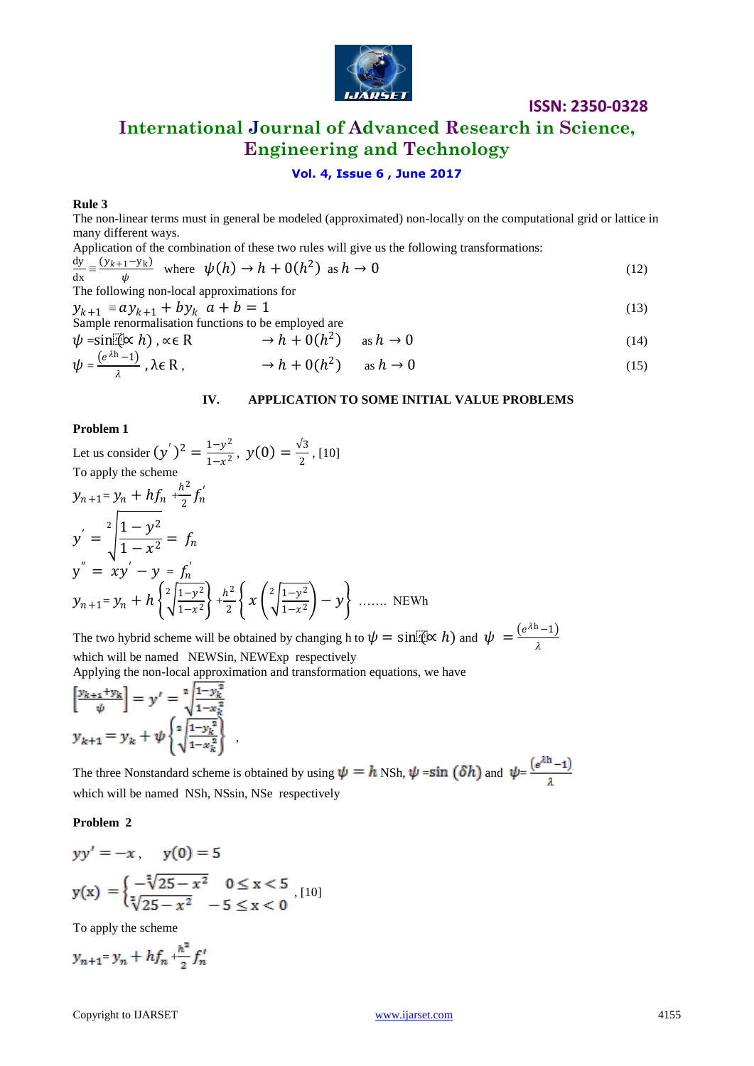

# **International Journal of Advanced Research in Science, Engineering and Technology**

#### **Vol. 4, Issue 6 , June 2017**

#### **Rule 3**

The non-linear terms must in general be modeled (approximated) non-locally on the computational grid or lattice in many different ways.

Application of the combination of these two rules will give us the following transformations:  
\n
$$
\frac{dy}{dx} = \frac{(y_{k+1} - y_k)}{\psi}
$$
\nwhere  $\psi(h) \to h + 0(h^2)$  as  $h \to 0$  (12)  
\nThe following non-local approximations for  
\n
$$
y_{k+1} = ay_{k+1} + by_k \quad a + b = 1
$$
\n
$$
\text{Sample renormalisation functions to be employed are}
$$
\n
$$
\psi = \sin(\xi x h), \quad x \in \mathbb{R} \longrightarrow h + 0(h^2) \quad \text{as } h \to 0
$$
\n(14)

$$
\psi = \frac{(e^{\lambda h} - 1)}{\lambda}, \lambda \in \mathbb{R}, \qquad \rightarrow h + 0(h^2) \quad \text{as } h \rightarrow 0 \tag{15}
$$

### **IV. APPLICATION TO SOME INITIAL VALUE PROBLEMS**

#### **Problem 1**

Let us consider  $(y')^2 = \frac{1-y^2}{1-x^2}$  $rac{1-y^2}{1-x^2}$ ,  $y(0) = \frac{\sqrt{3}}{2}$  $\frac{12}{2}$ , [10] To apply the scheme  $y_{n+1} = y_n + hf_n + \frac{h^2}{2}$  $\frac{i^2}{2}f'_n$  $y' = \frac{2}{1 - y^2}$  $1 - x^2$  $\int_{1}^{2} \frac{1-y^2}{x^2} dx = f_n$  $y^{''} = xy^{'} - y = f_n^{'}$ 

 $y_{n+1} = y_n + h \left\{ \frac{2}{\sqrt{1 - y^2}} \right\}$  $1 - x^2$  $\left\{\frac{1-y^2}{1-y^2}\right\} + \frac{h^2}{2}$  $\frac{1}{2} \left\{ x \left( \sqrt[2]{\frac{1-y^2}{1-x^2}} \right) \right\}$  $1 - x^2$  $\left(\frac{2}{1-y^2}\right) - y$  ....... NEWh

The two hybrid scheme will be obtained by changing h to  $\psi = \sin(\vec{x} \times h)$  and  $\psi = \frac{(e^{\lambda h}-1)}{2}$ λ which will be named NEWSin, NEWExp respectively

Applying the non-local approximation and transformation equations, we have

$$
\begin{bmatrix} \frac{y_{k+1} + y_k}{\psi} \end{bmatrix} = y' = \sqrt[2]{\frac{1 - y_k^2}{1 - x_k^2}}
$$

$$
y_{k+1} = y_k + \psi \left\{ \sqrt[2]{\frac{1 - y_k^2}{1 - x_k^2}} \right\},
$$

The three Nonstandard scheme is obtained by using  $\psi = h \text{ NSh}, \psi = \sin(\delta h)$  and  $\psi = \frac{e^{\lambda h} - 1}{h}$ which will be named NSh, NSsin, NSe respectively

#### **Problem 2**

$$
yy' = -x, \quad y(0) = 5
$$
  

$$
y(x) = \begin{cases} -\sqrt[2]{25 - x^2} & 0 \le x < 5 \\ \sqrt[2]{25 - x^2} & -5 \le x < 0 \end{cases}
$$
 [10]

To apply the scheme

$$
y_{n+1} = y_n + h f_n + \frac{h^2}{2} f'_n
$$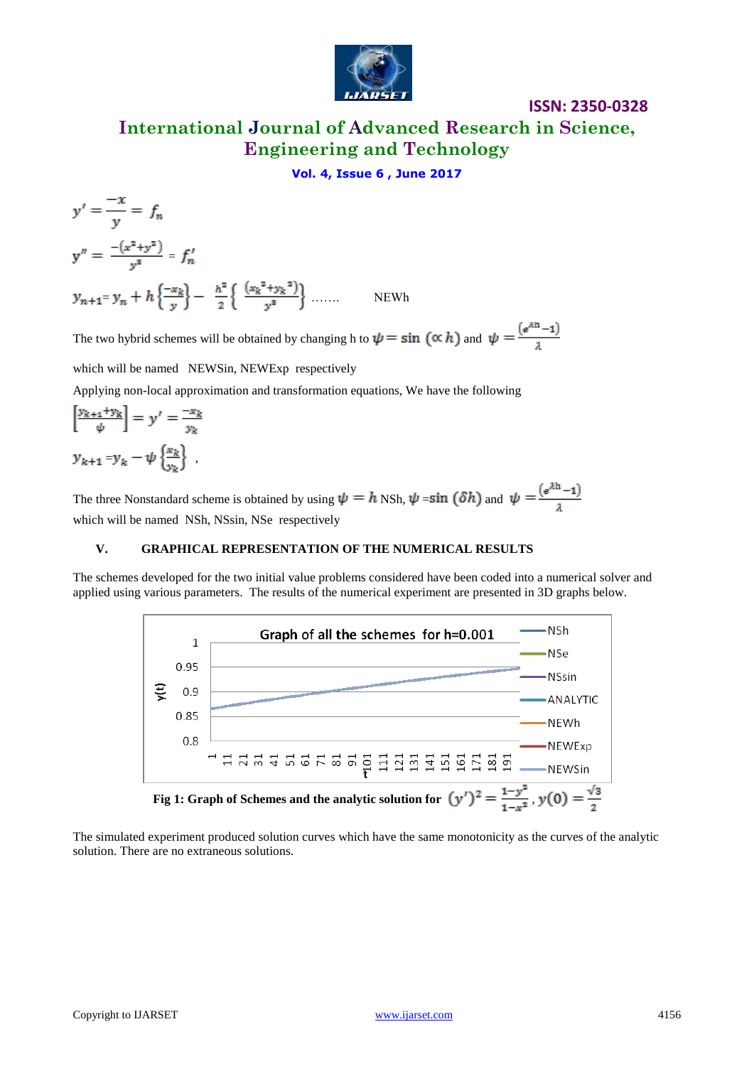

**International Journal of Advanced Research in Science, Engineering and Technology**

**Vol. 4, Issue 6 , June 2017**

$$
y' = \frac{-x}{y} = f_n
$$
  
\n
$$
y'' = \frac{-(x^2 + y^2)}{y^3} = f'_n
$$
  
\n
$$
y_{n+1} = y_n + h \left\{ \frac{-x_k}{y} \right\} - \frac{h^2}{2} \left\{ \frac{(x_k^2 + y_k^2)}{y^3} \right\} \dots
$$
 NEWh

The two hybrid schemes will be obtained by changing h to  $\psi = \sin (\alpha h)$  and  $\psi = \frac{(\epsilon^{\lambda h} - 1)}{2}$ 

which will be named NEWSin, NEWExp respectively

Applying non-local approximation and transformation equations, We have the following

$$
\left[\frac{y_{k+1} + y_k}{\psi}\right] = y' = \frac{-x_k}{y_k}
$$

$$
y_{k+1} = y_k - \psi \left\{\frac{x_k}{y_k}\right\},\,
$$

The three Nonstandard scheme is obtained by using  $\psi = h \text{ NSh}, \psi = \sin(\delta h)$  and  $\psi = \frac{(\epsilon^{\lambda h} - 1)}{n}$ which will be named NSh, NSsin, NSe respectively

### **V. GRAPHICAL REPRESENTATION OF THE NUMERICAL RESULTS**

The schemes developed for the two initial value problems considered have been coded into a numerical solver and applied using various parameters. The results of the numerical experiment are presented in 3D graphs below.



The simulated experiment produced solution curves which have the same monotonicity as the curves of the analytic solution. There are no extraneous solutions.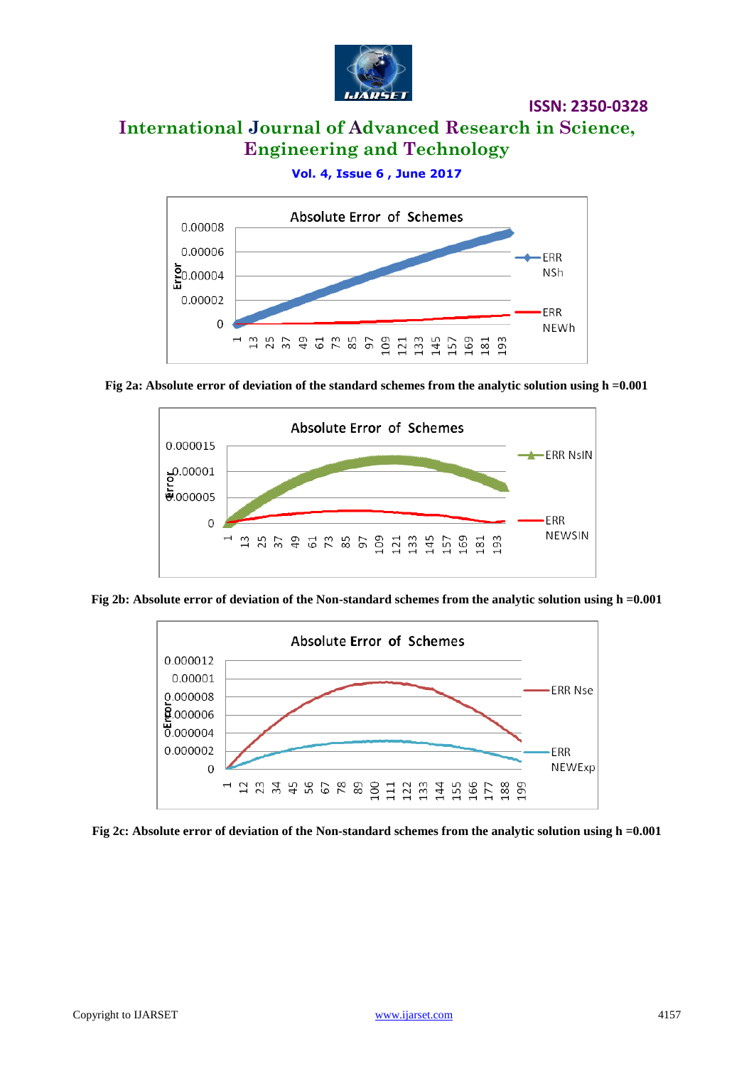

**ISSN: 2350-0328**

# **International Journal of Advanced Research in Science, Engineering and Technology**

**Vol. 4, Issue 6 , June 2017**



**Fig 2a: Absolute error of deviation of the standard schemes from the analytic solution using h =0.001**



**Fig 2b: Absolute error of deviation of the Non-standard schemes from the analytic solution using h =0.001**



**Fig 2c: Absolute error of deviation of the Non-standard schemes from the analytic solution using h =0.001**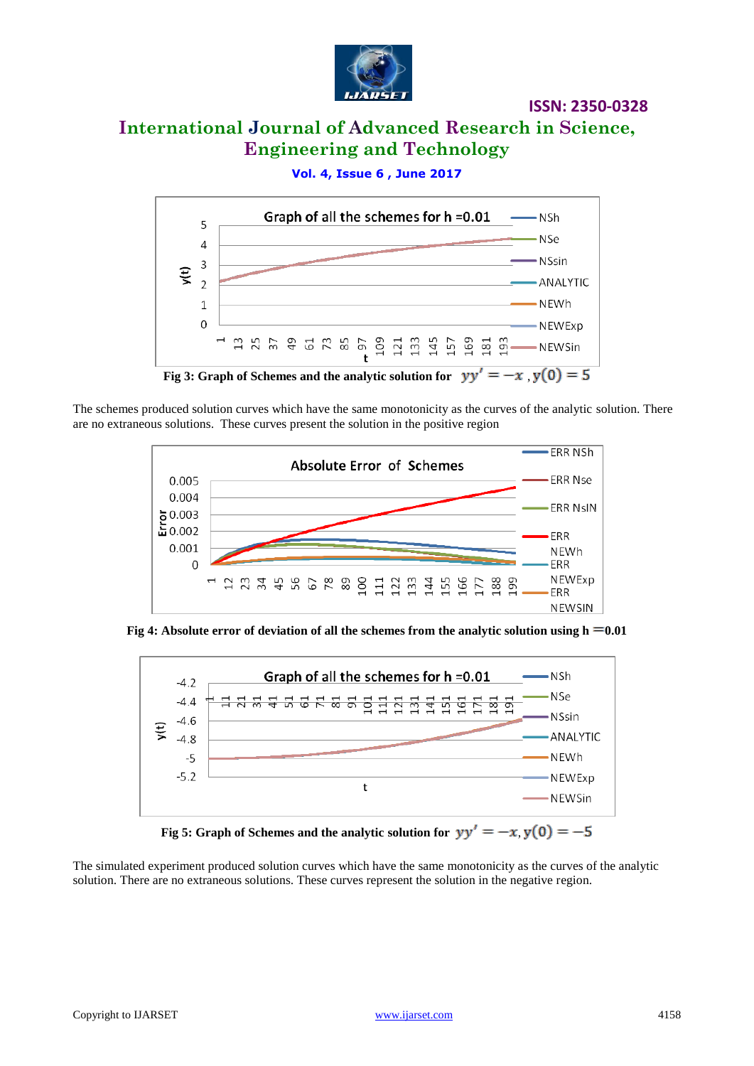

# **International Journal of Advanced Research in Science, Engineering and Technology**

# **Vol. 4, Issue 6 , June 2017**



The schemes produced solution curves which have the same monotonicity as the curves of the analytic solution. There are no extraneous solutions. These curves present the solution in the positive region



**Fig 4: Absolute error of deviation of all the schemes from the analytic solution using**  $h = 0.01$ 



**Fig 5:** Graph of Schemes and the analytic solution for  $yy' = -x$ ,  $y(0) = -5$ 

The simulated experiment produced solution curves which have the same monotonicity as the curves of the analytic solution. There are no extraneous solutions. These curves represent the solution in the negative region.